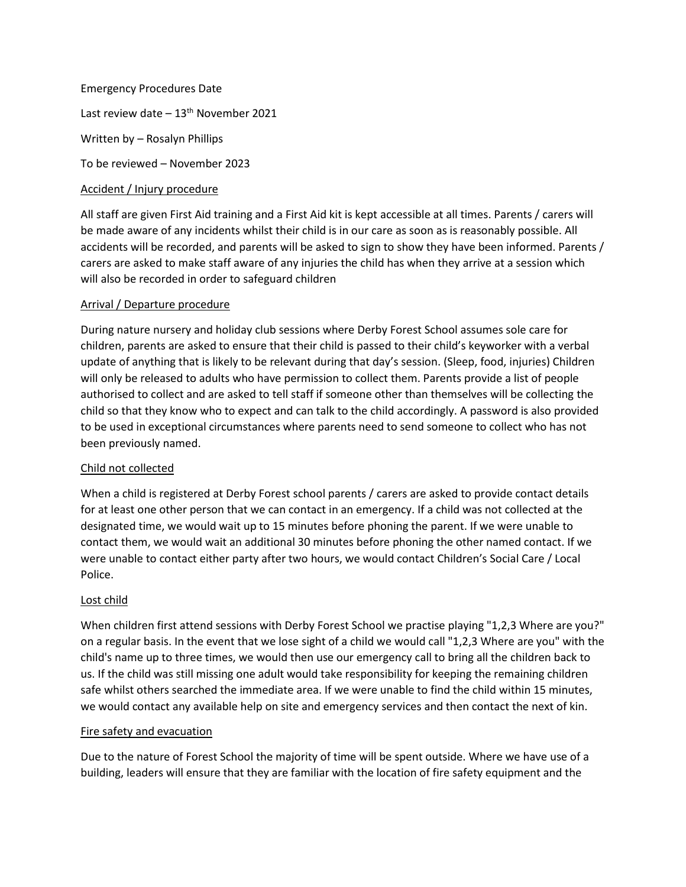Emergency Procedures Date Last review date  $-13<sup>th</sup>$  November 2021 Written by – Rosalyn Phillips To be reviewed – November 2023

## Accident / Injury procedure

All staff are given First Aid training and a First Aid kit is kept accessible at all times. Parents / carers will be made aware of any incidents whilst their child is in our care as soon as is reasonably possible. All accidents will be recorded, and parents will be asked to sign to show they have been informed. Parents / carers are asked to make staff aware of any injuries the child has when they arrive at a session which will also be recorded in order to safeguard children

## Arrival / Departure procedure

During nature nursery and holiday club sessions where Derby Forest School assumes sole care for children, parents are asked to ensure that their child is passed to their child's keyworker with a verbal update of anything that is likely to be relevant during that day's session. (Sleep, food, injuries) Children will only be released to adults who have permission to collect them. Parents provide a list of people authorised to collect and are asked to tell staff if someone other than themselves will be collecting the child so that they know who to expect and can talk to the child accordingly. A password is also provided to be used in exceptional circumstances where parents need to send someone to collect who has not been previously named.

# Child not collected

When a child is registered at Derby Forest school parents / carers are asked to provide contact details for at least one other person that we can contact in an emergency. If a child was not collected at the designated time, we would wait up to 15 minutes before phoning the parent. If we were unable to contact them, we would wait an additional 30 minutes before phoning the other named contact. If we were unable to contact either party after two hours, we would contact Children's Social Care / Local Police.

## Lost child

When children first attend sessions with Derby Forest School we practise playing "1,2,3 Where are you?" on a regular basis. In the event that we lose sight of a child we would call "1,2,3 Where are you" with the child's name up to three times, we would then use our emergency call to bring all the children back to us. If the child was still missing one adult would take responsibility for keeping the remaining children safe whilst others searched the immediate area. If we were unable to find the child within 15 minutes, we would contact any available help on site and emergency services and then contact the next of kin.

## Fire safety and evacuation

Due to the nature of Forest School the majority of time will be spent outside. Where we have use of a building, leaders will ensure that they are familiar with the location of fire safety equipment and the